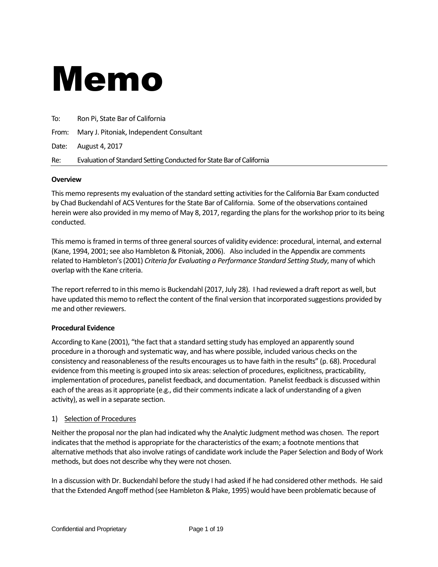# Memo

| To: | Ron Pi, State Bar of California                                      |  |
|-----|----------------------------------------------------------------------|--|
|     | From: Mary J. Pitoniak, Independent Consultant                       |  |
|     | Date: August 4, 2017                                                 |  |
| Re: | Evaluation of Standard Setting Conducted for State Bar of California |  |

### **Overview**

This memo represents my evaluation of the standard setting activities for the California Bar Exam conducted by Chad Buckendahl of ACS Ventures for the State Bar of California. Some of the observations contained herein were also provided in my memo of May 8, 2017, regarding the plans for the workshop prior to its being conducted.

This memo is framed in terms of three general sources of validity evidence: procedural, internal, and external (Kane, 1994, 2001; see also Hambleton & Pitoniak, 2006). Also included in the Appendix are comments related to Hambleton's (2001) *Criteria for Evaluating a Performance Standard Setting Study*, many of which overlap with the Kane criteria.

The report referred to in this memo is Buckendahl (2017, July 28). I had reviewed a draft report as well, but have updated this memo to reflect the content of the final version that incorporated suggestions provided by me and other reviewers.

#### **Procedural Evidence**

According to Kane (2001), "the fact that a standard setting study has employed an apparently sound procedure in a thorough and systematic way, and has where possible, included various checks on the consistency and reasonableness of the results encourages us to have faith in the results" (p. 68). Procedural evidence from this meeting is grouped into six areas: selection of procedures, explicitness, practicability, implementation of procedures, panelist feedback, and documentation. Panelist feedback is discussed within each of the areas as it appropriate (e.g., did their comments indicate a lack of understanding of a given activity), as well in a separate section.

#### 1) Selection of Procedures

Neither the proposal nor the plan had indicated why the Analytic Judgment method was chosen. The report indicates that the method is appropriate for the characteristics of the exam; a footnote mentions that alternative methods that also involve ratings of candidate work include the Paper Selection and Body of Work methods, but does not describe why they were not chosen.

In a discussion with Dr. Buckendahl before the study I had asked if he had considered other methods. He said that the Extended Angoff method (see Hambleton & Plake, 1995) would have been problematic because of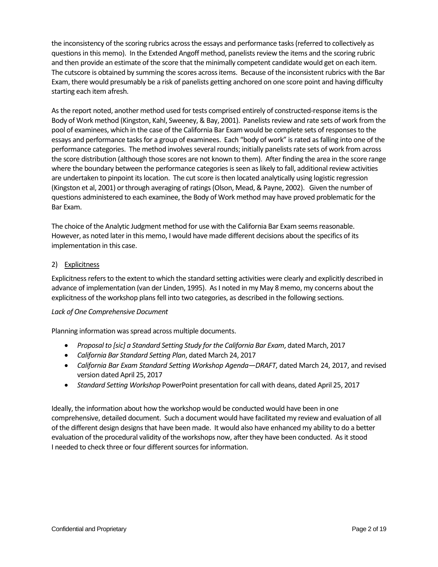the inconsistency of the scoring rubrics across the essays and performance tasks (referred to collectively as questions in this memo). In the Extended Angoff method, panelists review the items and the scoring rubric and then provide an estimate of the score that the minimally competent candidate would get on each item. The cutscore is obtained by summing the scores across items. Because of the inconsistent rubrics with the Bar Exam, there would presumably be a risk of panelists getting anchored on one score point and having difficulty starting each item afresh.

As the report noted, another method used for tests comprised entirely of constructed-response items is the Body of Work method (Kingston, Kahl, Sweeney, & Bay, 2001). Panelists review and rate sets of work from the pool of examinees, which in the case of the California Bar Exam would be complete sets of responses to the essays and performance tasks for a group of examinees. Each "body of work" is rated as falling into one of the performance categories. The method involves several rounds; initially panelists rate sets of work from across the score distribution (although those scores are not known to them). After finding the area in the score range where the boundary between the performance categories is seen as likely to fall, additional review activities are undertaken to pinpoint its location. The cut score is then located analytically using logistic regression (Kingston et al, 2001) or through averaging of ratings (Olson, Mead, & Payne, 2002). Given the number of questions administered to each examinee, the Body of Work method may have proved problematic for the Bar Exam.

The choice of the Analytic Judgment method for use with the California Bar Exam seems reasonable. However, as noted later in this memo, I would have made different decisions about the specifics of its implementation in this case.

## 2) Explicitness

Explicitness refers to the extent to which the standard setting activities were clearly and explicitly described in advance of implementation (van der Linden, 1995). As I noted in my May 8 memo, my concerns about the explicitness of the workshop plans fell into two categories, as described in the following sections.

#### *Lack of One Comprehensive Document*

Planning information was spread across multiple documents.

- *Proposal to [sic] a Standard Setting Study for the California Bar Exam*, dated March, 2017
- *California Bar Standard Setting Plan*, dated March 24, 2017
- *California Bar Exam Standard Setting Workshop Agenda—DRAFT*, dated March 24, 2017, and revised version dated April 25, 2017
- *Standard Setting Workshop* PowerPoint presentation for call with deans, dated April 25, 2017

Ideally, the information about how the workshop would be conducted would have been in one comprehensive, detailed document. Such a document would have facilitated my review and evaluation of all of the different design designs that have been made. It would also have enhanced my ability to do a better evaluation of the procedural validity of the workshops now, after they have been conducted. As it stood I needed to check three or four different sources for information.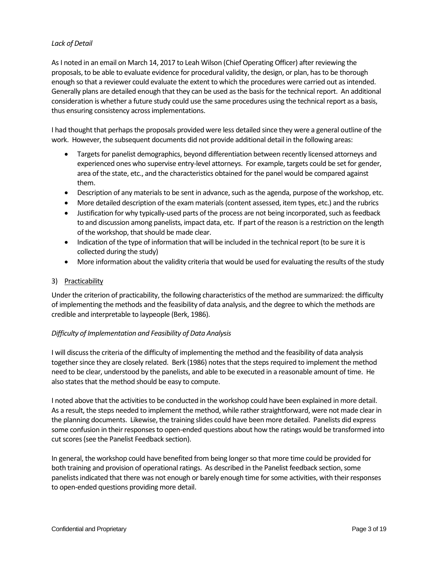## *Lack of Detail*

As I noted in an email on March 14, 2017 to Leah Wilson (Chief Operating Officer) after reviewing the proposals, to be able to evaluate evidence for procedural validity, the design, or plan, has to be thorough enough so that a reviewer could evaluate the extent to which the procedures were carried out as intended. Generally plans are detailed enough that they can be used as the basis for the technical report. An additional consideration is whether a future study could use the same procedures using the technical report as a basis, thus ensuring consistency across implementations.

I had thought that perhaps the proposals provided were less detailed since they were a general outline of the work. However, the subsequent documents did not provide additional detail in the following areas:

- Targets for panelist demographics, beyond differentiation between recently licensed attorneys and experienced ones who supervise entry-level attorneys. For example, targets could be set for gender, area of the state, etc., and the characteristics obtained for the panel would be compared against them.
- Description of any materials to be sent in advance, such as the agenda, purpose of the workshop, etc.
- More detailed description of the exam materials (content assessed, item types, etc.) and the rubrics
- Justification for why typically-used parts of the process are not being incorporated, such as feedback to and discussion among panelists, impact data, etc. If part of the reason is a restriction on the length of the workshop, that should be made clear.
- Indication of the type of information that will be included in the technical report (to be sure it is collected during the study)
- More information about the validity criteria that would be used for evaluating the results of the study

### 3) Practicability

Under the criterion of practicability, the following characteristics of the method are summarized: the difficulty of implementing the methods and the feasibility of data analysis, and the degree to which the methods are credible and interpretable to laypeople (Berk, 1986).

## *Difficulty of Implementation and Feasibility of Data Analysis*

I will discuss the criteria of the difficulty of implementing the method and the feasibility of data analysis together since they are closely related. Berk (1986) notes that the steps required to implement the method need to be clear, understood by the panelists, and able to be executed in a reasonable amount of time. He also states that the method should be easy to compute.

I noted above that the activities to be conducted in the workshop could have been explained in more detail. As a result, the steps needed to implement the method, while rather straightforward, were not made clear in the planning documents. Likewise, the training slides could have been more detailed. Panelists did express some confusion in their responses to open-ended questions about how the ratings would be transformed into cut scores (see the Panelist Feedback section).

In general, the workshop could have benefited from being longer so that more time could be provided for both training and provision of operational ratings. As described in the Panelist feedback section, some panelists indicated that there was not enough or barely enough time for some activities, with their responses to open-ended questions providing more detail.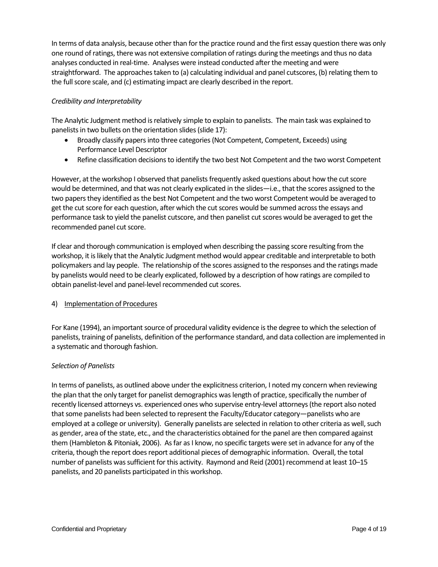In terms of data analysis, because other than for the practice round and the first essay question there was only one round of ratings, there was not extensive compilation of ratings during the meetings and thus no data analyses conducted in real-time. Analyses were instead conducted after the meeting and were straightforward. The approaches taken to (a) calculating individual and panel cutscores, (b) relating them to the full score scale, and (c) estimating impact are clearly described in the report.

## *Credibility and Interpretability*

The Analytic Judgment method is relatively simple to explain to panelists. The main task was explained to panelists in two bullets on the orientation slides (slide 17):

- Broadly classify papers into three categories (Not Competent, Competent, Exceeds) using Performance Level Descriptor
- Refine classification decisions to identify the two best Not Competent and the two worst Competent

However, at the workshop I observed that panelists frequently asked questions about how the cut score would be determined, and that was not clearly explicated in the slides—i.e., that the scores assigned to the two papers they identified as the best Not Competent and the two worst Competent would be averaged to get the cut score for each question, after which the cut scores would be summed across the essays and performance task to yield the panelist cutscore, and then panelist cut scores would be averaged to get the recommended panel cut score.

If clear and thorough communication is employed when describing the passing score resulting from the workshop, it is likely that the Analytic Judgment method would appear creditable and interpretable to both policymakers and lay people. The relationship of the scores assigned to the responses and the ratings made by panelists would need to be clearly explicated, followed by a description of how ratings are compiled to obtain panelist-level and panel-level recommended cut scores.

#### 4) Implementation of Procedures

For Kane (1994), an important source of procedural validity evidence is the degree to which the selection of panelists, training of panelists, definition of the performance standard, and data collection are implemented in a systematic and thorough fashion.

#### *Selection of Panelists*

In terms of panelists, as outlined above under the explicitness criterion, I noted my concern when reviewing the plan that the only target for panelist demographics was length of practice, specifically the number of recently licensed attorneys vs. experienced ones who supervise entry-level attorneys (the report also noted that some panelists had been selected to represent the Faculty/Educator category—panelists who are employed at a college or university). Generally panelists are selected in relation to other criteria as well, such as gender, area of the state, etc., and the characteristics obtained for the panel are then compared against them (Hambleton & Pitoniak, 2006). As far as I know, no specific targets were set in advance for any of the criteria, though the report does report additional pieces of demographic information. Overall, the total number of panelists was sufficient for this activity. Raymond and Reid (2001) recommend at least 10–15 panelists, and 20 panelists participated in this workshop.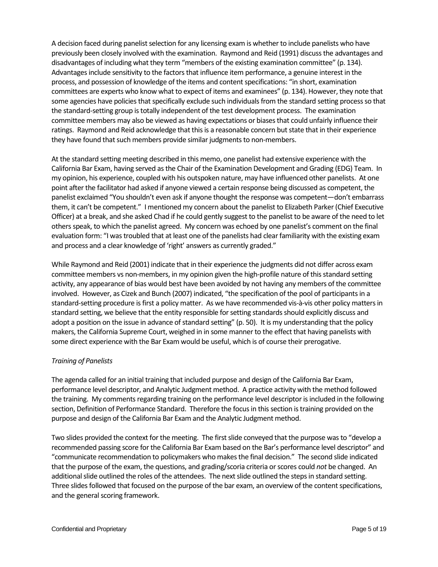A decision faced during panelist selection for any licensing exam is whether to include panelists who have previously been closely involved with the examination. Raymond and Reid (1991) discuss the advantages and disadvantages of including what they term "members of the existing examination committee" (p. 134). Advantages include sensitivity to the factors that influence item performance, a genuine interest in the process, and possession of knowledge of the items and content specifications: "in short, examination committees are experts who know what to expect of items and examinees" (p. 134). However, they note that some agencies have policies that specifically exclude such individuals from the standard setting process so that the standard-setting group is totally independent of the test development process. The examination committee members may also be viewed as having expectations or biases that could unfairly influence their ratings. Raymond and Reid acknowledge that this is a reasonable concern but state that in their experience they have found that such members provide similar judgments to non-members.

At the standard setting meeting described in this memo, one panelist had extensive experience with the California Bar Exam, having served as the Chair of the Examination Development and Grading (EDG) Team. In my opinion, his experience, coupled with his outspoken nature, may have influenced other panelists. At one point after the facilitator had asked if anyone viewed a certain response being discussed as competent, the panelist exclaimed "You shouldn't even ask if anyone thought the response was competent—don't embarrass them, it can't be competent." I mentioned my concern about the panelist to Elizabeth Parker (Chief Executive Officer) at a break, and she asked Chad if he could gently suggest to the panelist to be aware of the need to let others speak, to which the panelist agreed. My concern was echoed by one panelist's comment on the final evaluation form: "I was troubled that at least one of the panelists had clear familiarity with the existing exam and process and a clear knowledge of 'right' answers as currently graded."

While Raymond and Reid (2001) indicate that in their experience the judgments did not differ across exam committee members vs non-members, in my opinion given the high-profile nature of this standard setting activity, any appearance of bias would best have been avoided by not having any members of the committee involved. However, as Cizek and Bunch (2007) indicated, "the specification of the pool of participants in a standard-setting procedure is first a policy matter. As we have recommended vis-à-vis other policy matters in standard setting, we believe that the entity responsible for setting standards should explicitly discuss and adopt a position on the issue in advance of standard setting" (p. 50). It is my understanding that the policy makers, the California Supreme Court, weighed in in some manner to the effect that having panelists with some direct experience with the Bar Exam would be useful, which is of course their prerogative.

## *Training of Panelists*

The agenda called for an initial training that included purpose and design of the California Bar Exam, performance level descriptor, and Analytic Judgment method. A practice activity with the method followed the training. My comments regarding training on the performance level descriptor is included in the following section, Definition of Performance Standard. Therefore the focus in this section is training provided on the purpose and design of the California Bar Exam and the Analytic Judgment method.

Two slides provided the context for the meeting. The first slide conveyed that the purpose was to "develop a recommended passing score for the California Bar Exam based on the Bar's performance level descriptor" and "communicate recommendation to policymakers who makes the final decision." The second slide indicated that the purpose of the exam, the questions, and grading/scoria criteria or scores could *not* be changed. An additional slide outlined the roles of the attendees. The next slide outlined the steps in standard setting. Three slides followed that focused on the purpose of the bar exam, an overview of the content specifications, and the general scoring framework.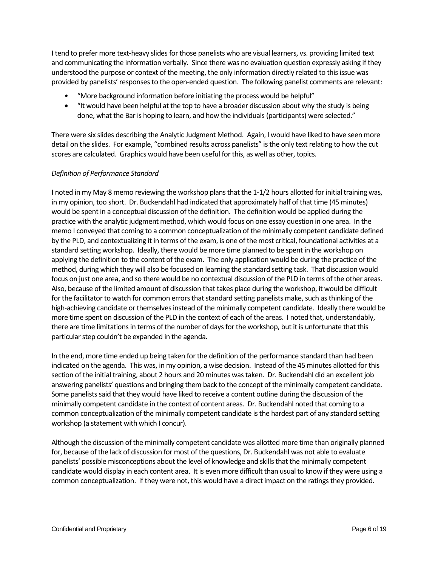I tend to prefer more text-heavy slides for those panelists who are visual learners, vs. providing limited text and communicating the information verbally. Since there was no evaluation question expressly asking if they understood the purpose or context of the meeting, the only information directly related to this issue was provided by panelists' responses to the open-ended question. The following panelist comments are relevant:

- "More background information before initiating the process would be helpful"
- "It would have been helpful at the top to have a broader discussion about why the study is being done, what the Bar is hoping to learn, and how the individuals (participants) were selected."

There were six slides describing the Analytic Judgment Method. Again, I would have liked to have seen more detail on the slides. For example, "combined results across panelists" is the only text relating to how the cut scores are calculated. Graphics would have been useful for this, as well as other, topics.

## *Definition of Performance Standard*

I noted in my May 8 memo reviewing the workshop plans that the 1-1/2 hours allotted for initial training was, in my opinion, too short. Dr. Buckendahl had indicated that approximately half of that time (45 minutes) would be spent in a conceptual discussion of the definition. The definition would be applied during the practice with the analytic judgment method, which would focus on one essay question in one area. In the memo I conveyed that coming to a common conceptualization of the minimally competent candidate defined by the PLD, and contextualizing it in terms of the exam, is one of the most critical, foundational activities at a standard setting workshop. Ideally, there would be more time planned to be spent in the workshop on applying the definition to the content of the exam. The only application would be during the practice of the method, during which they will also be focused on learning the standard setting task. That discussion would focus on just one area, and so there would be no contextual discussion of the PLD in terms of the other areas. Also, because of the limited amount of discussion that takes place during the workshop, it would be difficult for the facilitator to watch for common errors that standard setting panelists make, such as thinking of the high-achieving candidate or themselves instead of the minimally competent candidate. Ideally there would be more time spent on discussion of the PLD in the context of each of the areas. I noted that, understandably, there are time limitations in terms of the number of days for the workshop, but it is unfortunate that this particular step couldn't be expanded in the agenda.

In the end, more time ended up being taken for the definition of the performance standard than had been indicated on the agenda. This was, in my opinion, a wise decision. Instead of the 45 minutes allotted for this section of the initial training, about 2 hours and 20 minutes was taken. Dr. Buckendahl did an excellent job answering panelists' questions and bringing them back to the concept of the minimally competent candidate. Some panelists said that they would have liked to receive a content outline during the discussion of the minimally competent candidate in the context of content areas. Dr. Buckendahl noted that coming to a common conceptualization of the minimally competent candidate is the hardest part of any standard setting workshop (a statement with which I concur).

Although the discussion of the minimally competent candidate was allotted more time than originally planned for, because of the lack of discussion for most of the questions, Dr. Buckendahl was not able to evaluate panelists' possible misconceptions about the level of knowledge and skills that the minimally competent candidate would display in each content area. It is even more difficult than usual to know if they were using a common conceptualization. If they were not, this would have a direct impact on the ratings they provided.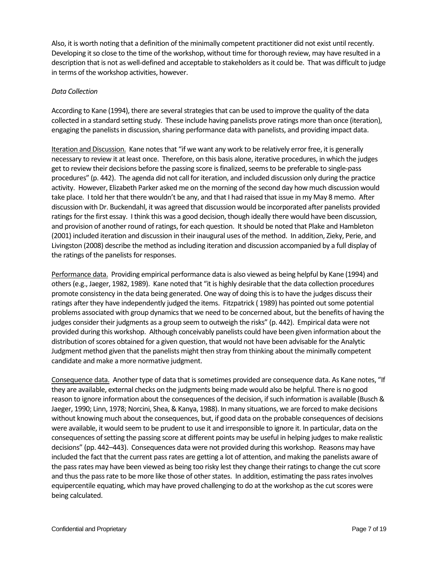Also, it is worth noting that a definition of the minimally competent practitioner did not exist until recently. Developing it so close to the time of the workshop, without time for thorough review, may have resulted in a description that is not as well-defined and acceptable to stakeholders as it could be. That was difficult to judge in terms of the workshop activities, however.

#### *Data Collection*

According to Kane (1994), there are several strategies that can be used to improve the quality of the data collected in a standard setting study. These include having panelists prove ratings more than once (iteration), engaging the panelists in discussion, sharing performance data with panelists, and providing impact data.

Iteration and Discussion. Kane notes that "if we want any work to be relatively error free, it is generally necessary to review it at least once. Therefore, on this basis alone, iterative procedures, in which the judges get to review their decisions before the passing score is finalized, seems to be preferable to single-pass procedures" (p. 442). The agenda did not call for iteration, and included discussion only during the practice activity. However, Elizabeth Parker asked me on the morning of the second day how much discussion would take place. I told her that there wouldn't be any, and that I had raised that issue in my May 8 memo. After discussion with Dr. Buckendahl, it was agreed that discussion would be incorporated after panelists provided ratings for the first essay. I think this was a good decision, though ideally there would have been discussion, and provision of another round of ratings, for each question. It should be noted that Plake and Hambleton (2001) included iteration and discussion in their inaugural uses of the method. In addition, Zieky, Perie, and Livingston (2008) describe the method as including iteration and discussion accompanied by a full display of the ratings of the panelists for responses.

Performance data. Providing empirical performance data is also viewed as being helpful by Kane (1994) and others (e.g., Jaeger, 1982, 1989). Kane noted that "it is highly desirable that the data collection procedures promote consistency in the data being generated. One way of doing this is to have the judges discuss their ratings after they have independently judged the items. Fitzpatrick ( 1989) has pointed out some potential problems associated with group dynamics that we need to be concerned about, but the benefits of having the judges consider their judgments as a group seem to outweigh the risks" (p. 442). Empirical data were not provided during this workshop. Although conceivably panelists could have been given information about the distribution of scores obtained for a given question, that would not have been advisable for the Analytic Judgment method given that the panelists might then stray from thinking about the minimally competent candidate and make a more normative judgment.

Consequence data. Another type of data that is sometimes provided are consequence data. As Kane notes, "If they are available, external checks on the judgments being made would also be helpful. There is no good reason to ignore information about the consequences of the decision, if such information is available (Busch & Jaeger, 1990; Linn, 1978; Norcini, Shea, & Kanya, 1988). In many situations, we are forced to make decisions without knowing much about the consequences, but, if good data on the probable consequences of decisions were available, it would seem to be prudent to use it and irresponsible to ignore it. In particular, data on the consequences of setting the passing score at different points may be useful in helping judges to make realistic decisions" (pp. 442–443). Consequences data were not provided during this workshop. Reasons may have included the fact that the current pass rates are getting a lot of attention, and making the panelists aware of the pass rates may have been viewed as being too risky lest they change their ratings to change the cut score and thus the pass rate to be more like those of other states. In addition, estimating the pass rates involves equipercentile equating, which may have proved challenging to do at the workshop as the cut scores were being calculated.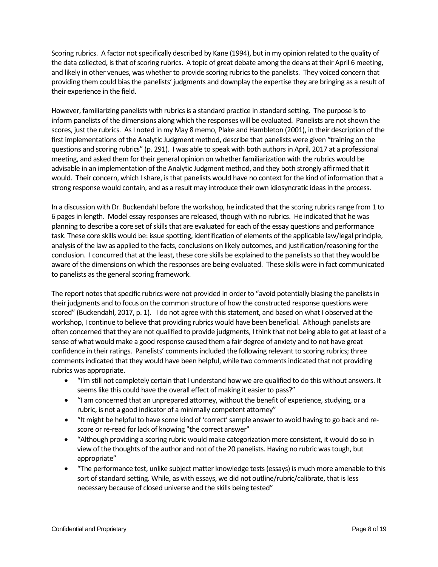Scoring rubrics. A factor not specifically described by Kane (1994), but in my opinion related to the quality of the data collected, is that of scoring rubrics. A topic of great debate among the deans at their April 6 meeting, and likely in other venues, was whether to provide scoring rubrics to the panelists. They voiced concern that providing them could bias the panelists' judgments and downplay the expertise they are bringing as a result of their experience in the field.

However, familiarizing panelists with rubrics is a standard practice in standard setting. The purpose is to inform panelists of the dimensions along which the responses will be evaluated. Panelists are not shown the scores, just the rubrics. As I noted in my May 8 memo, Plake and Hambleton (2001), in their description of the first implementations of the Analytic Judgment method, describe that panelists were given "training on the questions and scoring rubrics" (p. 291). I was able to speak with both authors in April, 2017 at a professional meeting, and asked them for their general opinion on whether familiarization with the rubrics would be advisable in an implementation of the Analytic Judgment method, and they both strongly affirmed that it would. Their concern, which I share, is that panelists would have no context for the kind of information that a strong response would contain, and as a result may introduce their own idiosyncratic ideas in the process.

In a discussion with Dr. Buckendahl before the workshop, he indicated that the scoring rubrics range from 1 to 6 pages in length. Model essay responses are released, though with no rubrics. He indicated that he was planning to describe a core set of skills that are evaluated for each of the essay questions and performance task. These core skills would be: issue spotting, identification of elements of the applicable law/legal principle, analysis of the law as applied to the facts, conclusions on likely outcomes, and justification/reasoning for the conclusion. I concurred that at the least, these core skills be explained to the panelists so that they would be aware of the dimensions on which the responses are being evaluated. These skills were in fact communicated to panelists as the general scoring framework.

The report notes that specific rubrics were not provided in order to "avoid potentially biasing the panelists in their judgments and to focus on the common structure of how the constructed response questions were scored" (Buckendahl, 2017, p. 1). I do not agree with this statement, and based on what I observed at the workshop, I continue to believe that providing rubrics would have been beneficial. Although panelists are often concerned that they are not qualified to provide judgments, I think that not being able to get at least of a sense of what would make a good response caused them a fair degree of anxiety and to not have great confidence in their ratings. Panelists' comments included the following relevant to scoring rubrics; three comments indicated that they would have been helpful, while two comments indicated that not providing rubrics was appropriate.

- "I'm still not completely certain that I understand how we are qualified to do this without answers. It seems like this could have the overall effect of making it easier to pass?"
- "I am concerned that an unprepared attorney, without the benefit of experience, studying, or a rubric, is not a good indicator of a minimally competent attorney"
- "It might be helpful to have some kind of 'correct' sample answer to avoid having to go back and rescore or re-read for lack of knowing "the correct answer"
- "Although providing a scoring rubric would make categorization more consistent, it would do so in view of the thoughts of the author and not of the 20 panelists. Having no rubric was tough, but appropriate"
- "The performance test, unlike subject matter knowledge tests (essays) is much more amenable to this sort of standard setting. While, as with essays, we did not outline/rubric/calibrate, that is less necessary because of closed universe and the skills being tested"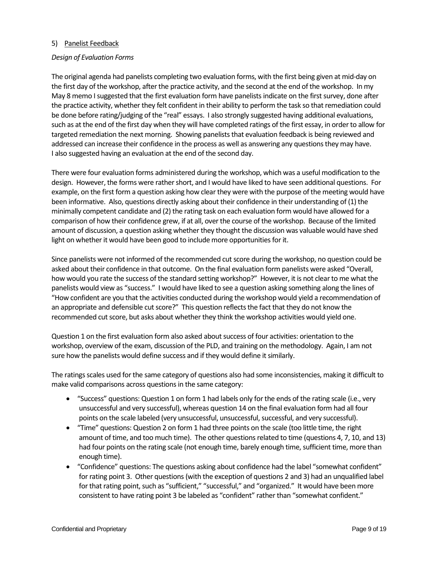### 5) Panelist Feedback

#### *Design of Evaluation Forms*

The original agenda had panelists completing two evaluation forms, with the first being given at mid-day on the first day of the workshop, after the practice activity, and the second at the end of the workshop. In my May 8 memo I suggested that the first evaluation form have panelists indicate on the first survey, done after the practice activity, whether they felt confident in their ability to perform the task so that remediation could be done before rating/judging of the "real" essays. I also strongly suggested having additional evaluations, such as at the end of the first day when they will have completed ratings of the first essay, in order to allow for targeted remediation the next morning. Showing panelists that evaluation feedback is being reviewed and addressed can increase their confidence in the process as well as answering any questions they may have. I also suggested having an evaluation at the end of the second day.

There were four evaluation forms administered during the workshop, which was a useful modification to the design. However, the forms were rather short, and I would have liked to have seen additional questions. For example, on the first form a question asking how clear they were with the purpose of the meeting would have been informative. Also, questions directly asking about their confidence in their understanding of (1) the minimally competent candidate and (2) the rating task on each evaluation form would have allowed for a comparison of how their confidence grew, if at all, over the course of the workshop. Because of the limited amount of discussion, a question asking whether they thought the discussion was valuable would have shed light on whether it would have been good to include more opportunities for it.

Since panelists were not informed of the recommended cut score during the workshop, no question could be asked about their confidence in that outcome. On the final evaluation form panelists were asked "Overall, how would you rate the success of the standard setting workshop?" However, it is not clear to me what the panelists would view as "success." I would have liked to see a question asking something along the lines of "How confident are you that the activities conducted during the workshop would yield a recommendation of an appropriate and defensible cut score?" This question reflects the fact that they do not know the recommended cut score, but asks about whether they think the workshop activities would yield one.

Question 1 on the first evaluation form also asked about success of four activities: orientation to the workshop, overview of the exam, discussion of the PLD, and training on the methodology. Again, I am not sure how the panelists would define success and if they would define it similarly.

The ratings scales used for the same category of questions also had some inconsistencies, making it difficult to make valid comparisons across questions in the same category:

- "Success" questions: Question 1 on form 1 had labels only for the ends of the rating scale (i.e., very unsuccessful and very successful), whereas question 14 on the final evaluation form had all four points on the scale labeled (very unsuccessful, unsuccessful, successful, and very successful).
- "Time" questions: Question 2 on form 1 had three points on the scale (too little time, the right amount of time, and too much time). The other questions related to time (questions 4, 7, 10, and 13) had four points on the rating scale (not enough time, barely enough time, sufficient time, more than enough time).
- "Confidence" questions: The questions asking about confidence had the label "somewhat confident" for rating point 3. Other questions (with the exception of questions 2 and 3) had an unqualified label for that rating point, such as "sufficient," "successful," and "organized." It would have been more consistent to have rating point 3 be labeled as "confident" rather than "somewhat confident."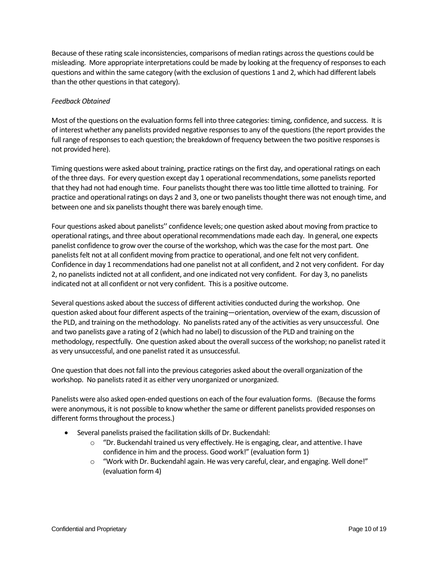Because of these rating scale inconsistencies, comparisons of median ratings across the questions could be misleading. More appropriate interpretations could be made by looking at the frequency of responses to each questions and within the same category (with the exclusion of questions 1 and 2, which had different labels than the other questions in that category).

## *Feedback Obtained*

Most of the questions on the evaluation forms fell into three categories: timing, confidence, and success. It is of interest whether any panelists provided negative responses to any of the questions (the report provides the full range of responses to each question; the breakdown of frequency between the two positive responses is not provided here).

Timing questions were asked about training, practice ratings on the first day, and operational ratings on each of the three days. For every question except day 1 operational recommendations, some panelists reported that they had not had enough time. Four panelists thought there was too little time allotted to training. For practice and operational ratings on days 2 and 3, one or two panelists thought there was not enough time, and between one and six panelists thought there was barely enough time.

Four questions asked about panelists'' confidence levels; one question asked about moving from practice to operational ratings, and three about operational recommendations made each day. In general, one expects panelist confidence to grow over the course of the workshop, which was the case for the most part. One panelists felt not at all confident moving from practice to operational, and one felt not very confident. Confidence in day 1 recommendations had one panelist not at all confident, and 2 not very confident. For day 2, no panelists indicted not at all confident, and one indicated not very confident. For day 3, no panelists indicated not at all confident or not very confident. This is a positive outcome.

Several questions asked about the success of different activities conducted during the workshop. One question asked about four different aspects of the training—orientation, overview of the exam, discussion of the PLD, and training on the methodology. No panelists rated any of the activities as very unsuccessful. One and two panelists gave a rating of 2 (which had no label) to discussion of the PLD and training on the methodology, respectfully. One question asked about the overall success of the workshop; no panelist rated it as very unsuccessful, and one panelist rated it as unsuccessful.

One question that does not fall into the previous categories asked about the overall organization of the workshop. No panelists rated it as either very unorganized or unorganized.

Panelists were also asked open-ended questions on each of the four evaluation forms. (Because the forms were anonymous, it is not possible to know whether the same or different panelists provided responses on different forms throughout the process.)

- Several panelists praised the facilitation skills of Dr. Buckendahl:
	- $\circ$  "Dr. Buckendahl trained us very effectively. He is engaging, clear, and attentive. I have confidence in him and the process. Good work!" (evaluation form 1)
	- $\circ$  "Work with Dr. Buckendahl again. He was very careful, clear, and engaging. Well done!" (evaluation form 4)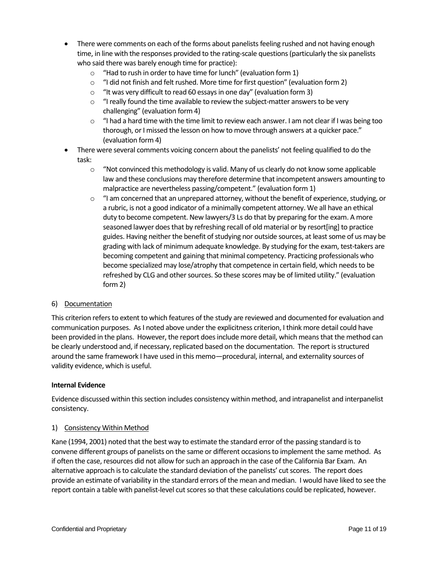- There were comments on each of the forms about panelists feeling rushed and not having enough time, in line with the responses provided to the rating-scale questions (particularly the six panelists who said there was barely enough time for practice):
	- $\circ$  "Had to rush in order to have time for lunch" (evaluation form 1)
	- o "I did not finish and felt rushed. More time for first question" (evaluation form 2)
	- o "It was very difficult to read 60 essays in one day" (evaluation form 3)
	- $\circ$  "I really found the time available to review the subject-matter answers to be very challenging" (evaluation form 4)
	- $\circ$  "I had a hard time with the time limit to review each answer. I am not clear if I was being too thorough, or I missed the lesson on how to move through answers at a quicker pace." (evaluation form 4)
- There were several comments voicing concern about the panelists' not feeling qualified to do the task:
	- $\circ$  "Not convinced this methodology is valid. Many of us clearly do not know some applicable law and these conclusions may therefore determine that incompetent answers amounting to malpractice are nevertheless passing/competent." (evaluation form 1)
	- $\circ$  "I am concerned that an unprepared attorney, without the benefit of experience, studying, or a rubric, is not a good indicator of a minimally competent attorney. We all have an ethical duty to become competent. New lawyers/3 Ls do that by preparing for the exam. A more seasoned lawyer does that by refreshing recall of old material or by resort[ing] to practice guides. Having neither the benefit of studying nor outside sources, at least some of us may be grading with lack of minimum adequate knowledge. By studying for the exam, test-takers are becoming competent and gaining that minimal competency. Practicing professionals who become specialized may lose/atrophy that competence in certain field, which needs to be refreshed by CLG and other sources. So these scores may be of limited utility." (evaluation form 2)

## 6) Documentation

This criterion refers to extent to which features of the study are reviewed and documented for evaluation and communication purposes. As I noted above under the explicitness criterion, I think more detail could have been provided in the plans. However, the report does include more detail, which means that the method can be clearly understood and, if necessary, replicated based on the documentation. The report is structured around the same framework I have used in this memo—procedural, internal, and externality sources of validity evidence, which is useful.

#### **Internal Evidence**

Evidence discussed within this section includes consistency within method, and intrapanelist and interpanelist consistency.

#### 1) Consistency Within Method

Kane (1994, 2001) noted that the best way to estimate the standard error of the passing standard is to convene different groups of panelists on the same or different occasions to implement the same method. As if often the case, resources did not allow for such an approach in the case of the California Bar Exam. An alternative approach is to calculate the standard deviation of the panelists' cut scores. The report does provide an estimate of variability in the standard errors of the mean and median. I would have liked to see the report contain a table with panelist-level cut scores so that these calculations could be replicated, however.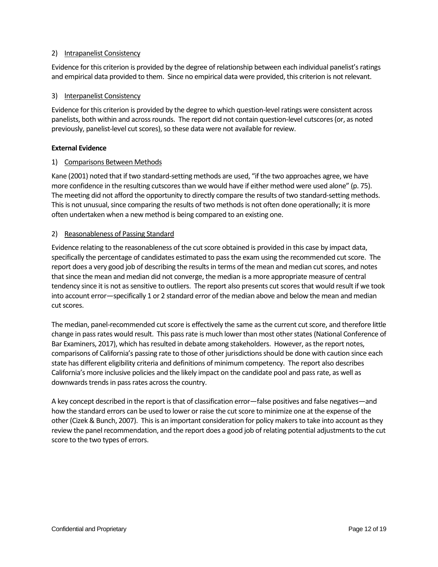## 2) Intrapanelist Consistency

Evidence for this criterion is provided by the degree of relationship between each individual panelist's ratings and empirical data provided to them. Since no empirical data were provided, this criterion is not relevant.

## 3) Interpanelist Consistency

Evidence for this criterion is provided by the degree to which question-level ratings were consistent across panelists, both within and across rounds. The report did not contain question-level cutscores (or, as noted previously, panelist-level cut scores), so these data were not available for review.

## **External Evidence**

## 1) Comparisons Between Methods

Kane (2001) noted that if two standard-setting methods are used, "if the two approaches agree, we have more confidence in the resulting cutscores than we would have if either method were used alone" (p. 75). The meeting did not afford the opportunity to directly compare the results of two standard-setting methods. This is not unusual, since comparing the results of two methods is not often done operationally; it is more often undertaken when a new method is being compared to an existing one.

## 2) Reasonableness of Passing Standard

Evidence relating to the reasonableness of the cut score obtained is provided in this case by impact data, specifically the percentage of candidates estimated to pass the exam using the recommended cut score. The report does a very good job of describing the results in terms of the mean and median cut scores, and notes that since the mean and median did not converge, the median is a more appropriate measure of central tendency since it is not as sensitive to outliers. The report also presents cut scores that would result if we took into account error—specifically 1 or 2 standard error of the median above and below the mean and median cut scores.

The median, panel-recommended cut score is effectively the same as the current cut score, and therefore little change in pass rates would result. This pass rate is much lower than most other states (National Conference of Bar Examiners, 2017), which has resulted in debate among stakeholders. However, as the report notes, comparisons of California's passing rate to those of other jurisdictions should be done with caution since each state has different eligibility criteria and definitions of minimum competency. The report also describes California's more inclusive policies and the likely impact on the candidate pool and pass rate, as well as downwards trends in pass rates across the country.

A key concept described in the report is that of classification error—false positives and false negatives—and how the standard errors can be used to lower or raise the cut score to minimize one at the expense of the other (Cizek & Bunch, 2007). This is an important consideration for policy makers to take into account as they review the panel recommendation, and the report does a good job of relating potential adjustments to the cut score to the two types of errors.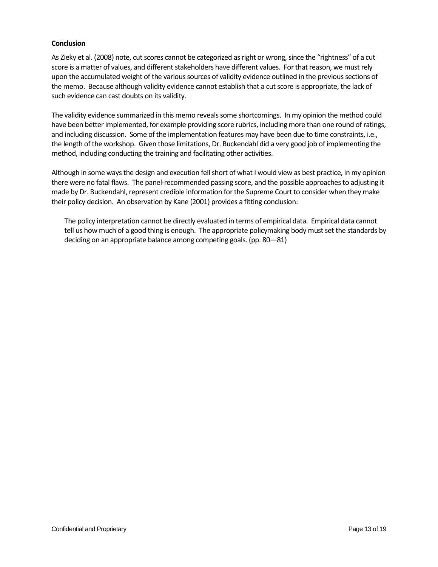### **Conclusion**

As Zieky et al. (2008) note, cut scores cannot be categorized as right or wrong, since the "rightness" of a cut score is a matter of values, and different stakeholders have different values. For that reason, we must rely upon the accumulated weight of the various sources of validity evidence outlined in the previous sections of the memo. Because although validity evidence cannot establish that a cut score is appropriate, the lack of such evidence can cast doubts on its validity.

The validity evidence summarized in this memo reveals some shortcomings. In my opinion the method could have been better implemented, for example providing score rubrics, including more than one round of ratings, and including discussion. Some of the implementation features may have been due to time constraints, i.e., the length of the workshop. Given those limitations, Dr. Buckendahl did a very good job of implementing the method, including conducting the training and facilitating other activities.

Although in some ways the design and execution fell short of what I would view as best practice, in my opinion there were no fatal flaws. The panel-recommended passing score, and the possible approaches to adjusting it made by Dr. Buckendahl, represent credible information for the Supreme Court to consider when they make their policy decision. An observation by Kane (2001) provides a fitting conclusion:

The policy interpretation cannot be directly evaluated in terms of empirical data. Empirical data cannot tell us how much of a good thing is enough. The appropriate policymaking body must set the standards by deciding on an appropriate balance among competing goals. (pp. 80—81)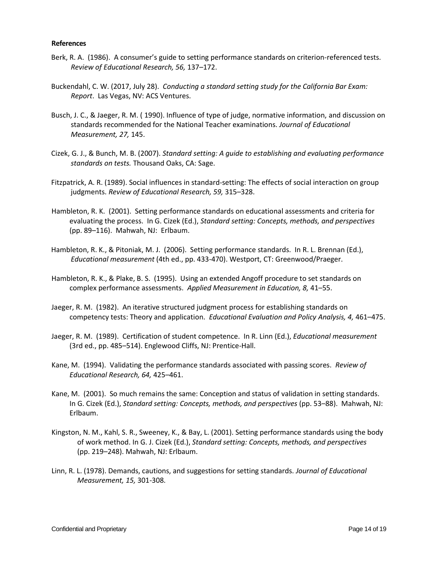#### **References**

- Berk, R. A. (1986). A consumer's guide to setting performance standards on criterion-referenced tests. *Review of Educational Research, 56,* 137–172.
- Buckendahl, C. W. (2017, July 28). *Conducting a standard setting study for the California Bar Exam: Report*. Las Vegas, NV: ACS Ventures.
- Busch, J. C., & Jaeger, R. M. ( 1990). Influence of type of judge, normative information, and discussion on standards recommended for the National Teacher examinations. *Journal of Educational Measurement, 27,* 145.
- Cizek, G. J., & Bunch, M. B. (2007). *Standard setting: A guide to establishing and evaluating performance standards on tests.* Thousand Oaks, CA: Sage.
- Fitzpatrick, A. R. (1989). Social influences in standard-setting: The effects of social interaction on group judgments. *Review of Educational Research, 59,* 315–328.
- Hambleton, R. K. (2001). Setting performance standards on educational assessments and criteria for evaluating the process. In G. Cizek (Ed.), *Standard setting: Concepts, methods, and perspectives* (pp. 89–116). Mahwah, NJ: Erlbaum.
- Hambleton, R. K., & Pitoniak, M. J. (2006). Setting performance standards. In R. L. Brennan (Ed.), *Educational measurement* (4th ed., pp. 433-470). Westport, CT: Greenwood/Praeger.
- Hambleton, R. K., & Plake, B. S. (1995). Using an extended Angoff procedure to set standards on complex performance assessments. *Applied Measurement in Education, 8,* 41–55.
- Jaeger, R. M. (1982). An iterative structured judgment process for establishing standards on competency tests: Theory and application. *Educational Evaluation and Policy Analysis, 4,* 461–475.
- Jaeger, R. M. (1989). Certification of student competence. In R. Linn (Ed.), *Educational measurement* (3rd ed., pp. 485–514). Englewood Cliffs, NJ: Prentice-Hall.
- Kane, M. (1994). Validating the performance standards associated with passing scores. *Review of Educational Research, 64,* 425–461.
- Kane, M. (2001). So much remains the same: Conception and status of validation in setting standards. In G. Cizek (Ed.), *Standard setting: Concepts, methods, and perspectives* (pp. 53–88). Mahwah, NJ: Erlbaum.
- Kingston, N. M., Kahl, S. R., Sweeney, K., & Bay, L. (2001). Setting performance standards using the body of work method. In G. J. Cizek (Ed.), *Standard setting: Concepts, methods, and perspectives* (pp. 219–248). Mahwah, NJ: Erlbaum.
- Linn, R. L. (1978). Demands, cautions, and suggestions for setting standards. *Journal of Educational Measurement, 15,* 301-308.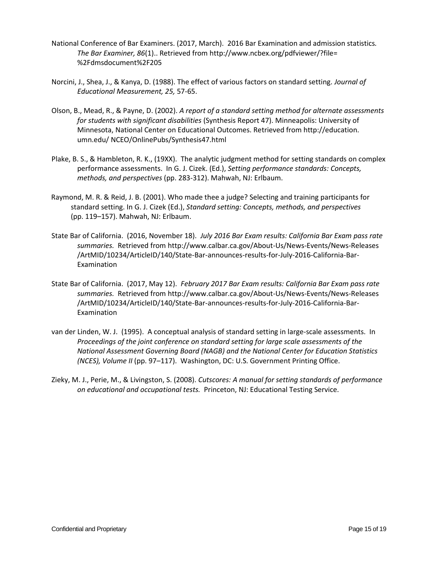- National Conference of Bar Examiners. (2017, March). 2016 Bar Examination and admission statistics*. The Bar Examiner, 86*(1).. Retrieved from http://www.ncbex.org/pdfviewer/?file= %2Fdmsdocument%2F205
- Norcini, J., Shea, J., & Kanya, D. (1988). The effect of various factors on standard setting. *Journal of Educational Measurement, 25,* 57-65.
- Olson, B., Mead, R., & Payne, D. (2002). *A report of a standard setting method for alternate assessments for students with significant disabilities* (Synthesis Report 47). Minneapolis: University of Minnesota, National Center on Educational Outcomes. Retrieved from http://education. umn.edu/ NCEO/OnlinePubs/Synthesis47.html
- Plake, B. S., & Hambleton, R. K., (19XX). The analytic judgment method for setting standards on complex performance assessments. In G. J. Cizek. (Ed.), *Setting performance standards: Concepts, methods, and perspectives* (pp. 283-312). Mahwah, NJ: Erlbaum.
- Raymond, M. R. & Reid, J. B. (2001). Who made thee a judge? Selecting and training participants for standard setting. In G. J. Cizek (Ed.), *Standard setting: Concepts, methods, and perspectives* (pp. 119–157). Mahwah, NJ: Erlbaum.
- State Bar of California. (2016, November 18). *July 2016 Bar Exam results: California Bar Exam pass rate summaries.* Retrieved from http://www.calbar.ca.gov/About-Us/News-Events/News-Releases /ArtMID/10234/ArticleID/140/State-Bar-announces-results-for-July-2016-California-Bar-Examination
- State Bar of California. (2017, May 12). *February 2017 Bar Exam results: California Bar Exam pass rate summaries.* Retrieved from http://www.calbar.ca.gov/About-Us/News-Events/News-Releases /ArtMID/10234/ArticleID/140/State-Bar-announces-results-for-July-2016-California-Bar-Examination
- van der Linden, W. J. (1995). A conceptual analysis of standard setting in large-scale assessments. In *Proceedings of the joint conference on standard setting for large scale assessments of the National Assessment Governing Board (NAGB) and the National Center for Education Statistics (NCES), Volume II* (pp. 97–117). Washington, DC: U.S. Government Printing Office.
- Zieky, M. J., Perie, M., & Livingston, S. (2008). *Cutscores: A manual for setting standards of performance on educational and occupational tests.* Princeton, NJ: Educational Testing Service.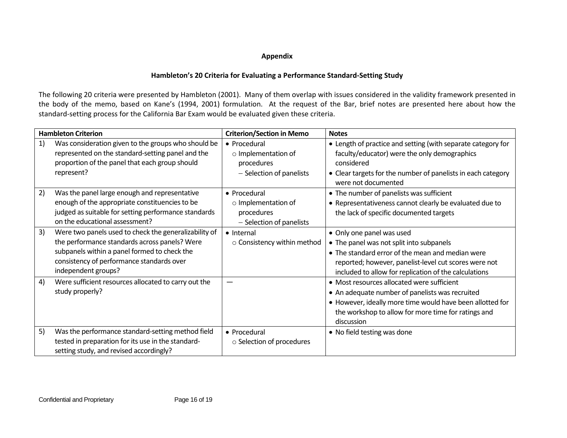# **Appendix**

# **Hambleton's 20 Criteria for Evaluating a Performance Standard-Setting Study**

The following 20 criteria were presented by Hambleton (2001). Many of them overlap with issues considered in the validity framework presented in the body of the memo, based on Kane's (1994, 2001) formulation. At the request of the Bar, brief notes are presented here about how the standard-setting process for the California Bar Exam would be evaluated given these criteria.

| <b>Hambleton Criterion</b> |                                                                                                                                                                                                                            | <b>Criterion/Section in Memo</b>                                                    | <b>Notes</b>                                                                                                                                                                                                                                |
|----------------------------|----------------------------------------------------------------------------------------------------------------------------------------------------------------------------------------------------------------------------|-------------------------------------------------------------------------------------|---------------------------------------------------------------------------------------------------------------------------------------------------------------------------------------------------------------------------------------------|
| 1)                         | Was consideration given to the groups who should be<br>represented on the standard-setting panel and the<br>proportion of the panel that each group should<br>represent?                                                   | • Procedural<br>o Implementation of<br>procedures<br>- Selection of panelists       | • Length of practice and setting (with separate category for<br>faculty/educator) were the only demographics<br>considered<br>• Clear targets for the number of panelists in each category<br>were not documented                           |
| 2)                         | Was the panel large enough and representative<br>enough of the appropriate constituencies to be<br>judged as suitable for setting performance standards<br>on the educational assessment?                                  | • Procedural<br>$\circ$ Implementation of<br>procedures<br>- Selection of panelists | • The number of panelists was sufficient<br>• Representativeness cannot clearly be evaluated due to<br>the lack of specific documented targets                                                                                              |
| 3)                         | Were two panels used to check the generalizability of<br>the performance standards across panels? Were<br>subpanels within a panel formed to check the<br>consistency of performance standards over<br>independent groups? | • Internal<br>o Consistency within method                                           | • Only one panel was used<br>• The panel was not split into subpanels<br>• The standard error of the mean and median were<br>reported; however, panelist-level cut scores were not<br>included to allow for replication of the calculations |
| 4)                         | Were sufficient resources allocated to carry out the<br>study properly?                                                                                                                                                    |                                                                                     | • Most resources allocated were sufficient<br>• An adequate number of panelists was recruited<br>• However, ideally more time would have been allotted for<br>the workshop to allow for more time for ratings and<br>discussion             |
| 5)                         | Was the performance standard-setting method field<br>tested in preparation for its use in the standard-<br>setting study, and revised accordingly?                                                                         | • Procedural<br>○ Selection of procedures                                           | • No field testing was done                                                                                                                                                                                                                 |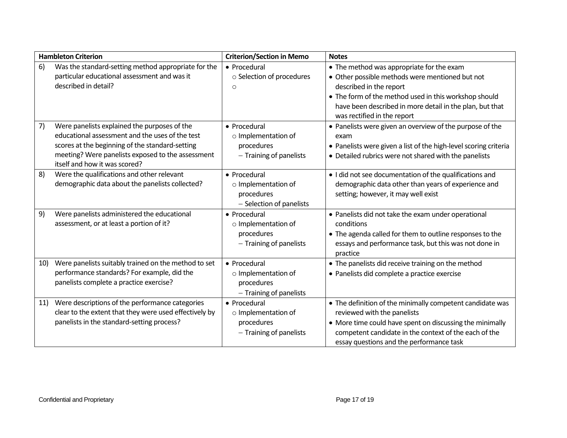| <b>Hambleton Criterion</b> |                                                                                                                                                                                                                                          | <b>Criterion/Section in Memo</b>                                                   | <b>Notes</b>                                                                                                                                                                                                                                                                |
|----------------------------|------------------------------------------------------------------------------------------------------------------------------------------------------------------------------------------------------------------------------------------|------------------------------------------------------------------------------------|-----------------------------------------------------------------------------------------------------------------------------------------------------------------------------------------------------------------------------------------------------------------------------|
| 6)                         | Was the standard-setting method appropriate for the<br>particular educational assessment and was it<br>described in detail?                                                                                                              | • Procedural<br>o Selection of procedures<br>O                                     | • The method was appropriate for the exam<br>• Other possible methods were mentioned but not<br>described in the report<br>• The form of the method used in this workshop should<br>have been described in more detail in the plan, but that<br>was rectified in the report |
| 7)                         | Were panelists explained the purposes of the<br>educational assessment and the uses of the test<br>scores at the beginning of the standard-setting<br>meeting? Were panelists exposed to the assessment<br>itself and how it was scored? | • Procedural<br>o Implementation of<br>procedures<br>- Training of panelists       | • Panelists were given an overview of the purpose of the<br>exam<br>• Panelists were given a list of the high-level scoring criteria<br>• Detailed rubrics were not shared with the panelists                                                                               |
| 8)                         | Were the qualifications and other relevant<br>demographic data about the panelists collected?                                                                                                                                            | • Procedural<br>o Implementation of<br>procedures<br>- Selection of panelists      | • I did not see documentation of the qualifications and<br>demographic data other than years of experience and<br>setting; however, it may well exist                                                                                                                       |
| 9)                         | Were panelists administered the educational<br>assessment, or at least a portion of it?                                                                                                                                                  | • Procedural<br>o Implementation of<br>procedures<br>- Training of panelists       | • Panelists did not take the exam under operational<br>conditions<br>• The agenda called for them to outline responses to the<br>essays and performance task, but this was not done in<br>practice                                                                          |
| 10)                        | Were panelists suitably trained on the method to set<br>performance standards? For example, did the<br>panelists complete a practice exercise?                                                                                           | • Procedural<br>$\circ$ Implementation of<br>procedures<br>- Training of panelists | • The panelists did receive training on the method<br>• Panelists did complete a practice exercise                                                                                                                                                                          |
| 11)                        | Were descriptions of the performance categories<br>clear to the extent that they were used effectively by<br>panelists in the standard-setting process?                                                                                  | • Procedural<br>$\circ$ Implementation of<br>procedures<br>- Training of panelists | • The definition of the minimally competent candidate was<br>reviewed with the panelists<br>• More time could have spent on discussing the minimally<br>competent candidate in the context of the each of the<br>essay questions and the performance task                   |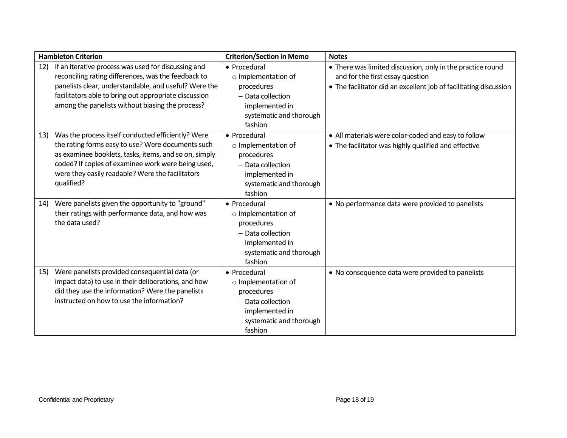| <b>Hambleton Criterion</b> |                                                       | <b>Criterion/Section in Memo</b> | <b>Notes</b>                                                      |
|----------------------------|-------------------------------------------------------|----------------------------------|-------------------------------------------------------------------|
| 12)                        | If an iterative process was used for discussing and   | • Procedural                     | • There was limited discussion, only in the practice round        |
|                            | reconciling rating differences, was the feedback to   | o Implementation of              | and for the first essay question                                  |
|                            | panelists clear, understandable, and useful? Were the | procedures                       | • The facilitator did an excellent job of facilitating discussion |
|                            | facilitators able to bring out appropriate discussion | - Data collection                |                                                                   |
|                            | among the panelists without biasing the process?      | implemented in                   |                                                                   |
|                            |                                                       | systematic and thorough          |                                                                   |
|                            |                                                       | fashion                          |                                                                   |
| 13)                        | Was the process itself conducted efficiently? Were    | • Procedural                     | • All materials were color-coded and easy to follow               |
|                            | the rating forms easy to use? Were documents such     | o Implementation of              | • The facilitator was highly qualified and effective              |
|                            | as examinee booklets, tasks, items, and so on, simply | procedures                       |                                                                   |
|                            | coded? If copies of examinee work were being used,    | $-$ Data collection              |                                                                   |
|                            | were they easily readable? Were the facilitators      | implemented in                   |                                                                   |
|                            | qualified?                                            | systematic and thorough          |                                                                   |
|                            |                                                       | fashion                          |                                                                   |
| 14)                        | Were panelists given the opportunity to "ground"      | • Procedural                     | • No performance data were provided to panelists                  |
|                            | their ratings with performance data, and how was      | o Implementation of              |                                                                   |
|                            | the data used?                                        | procedures                       |                                                                   |
|                            |                                                       | - Data collection                |                                                                   |
|                            |                                                       | implemented in                   |                                                                   |
|                            |                                                       | systematic and thorough          |                                                                   |
|                            |                                                       | fashion                          |                                                                   |
| <b>15)</b>                 | Were panelists provided consequential data (or        | • Procedural                     | • No consequence data were provided to panelists                  |
|                            | impact data) to use in their deliberations, and how   | o Implementation of              |                                                                   |
|                            | did they use the information? Were the panelists      | procedures                       |                                                                   |
|                            | instructed on how to use the information?             | - Data collection                |                                                                   |
|                            |                                                       | implemented in                   |                                                                   |
|                            |                                                       | systematic and thorough          |                                                                   |
|                            |                                                       | fashion                          |                                                                   |